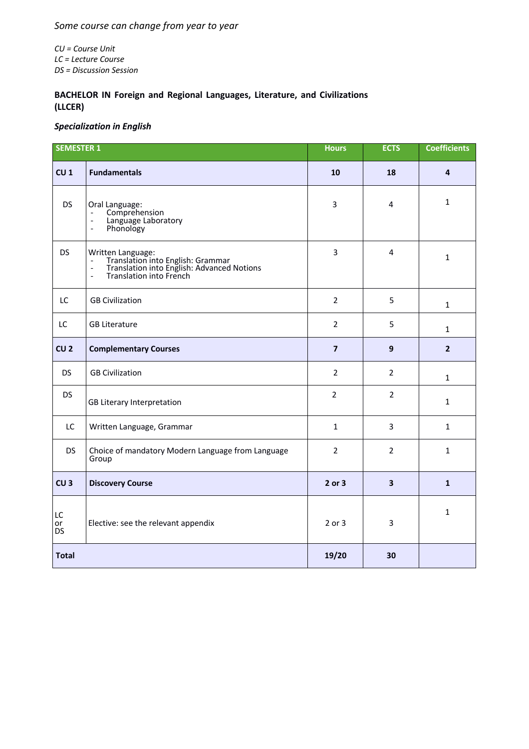## *Some course can change from year to year*

*CU = Course Unit LC = Lecture Course DS = Discussion Session*

## **BACHELOR IN Foreign and Regional Languages, Literature, and Civilizations (LLCER)**

## *Specialization in English*

| <b>SEMESTER 1</b> |                                                                                                                                       | <b>Hours</b>   | <b>ECTS</b>             | <b>Coefficients</b> |
|-------------------|---------------------------------------------------------------------------------------------------------------------------------------|----------------|-------------------------|---------------------|
| CU <sub>1</sub>   | <b>Fundamentals</b>                                                                                                                   | 10             | 18                      | 4                   |
| <b>DS</b>         | Oral Language:<br>Comprehension<br>Language Laboratory<br>$\frac{1}{2}$<br>Phonology<br>$\blacksquare$                                | 3              | 4                       | $\mathbf{1}$        |
| <b>DS</b>         | Written Language:<br>- Translation into English: Grammar<br>- Translation into English: Advanced Notions<br>- Translation into French | 3              | 4                       | $\mathbf{1}$        |
| LC                | <b>GB Civilization</b>                                                                                                                | $\overline{2}$ | 5                       | $\mathbf{1}$        |
| LC                | <b>GB Literature</b>                                                                                                                  | $\overline{2}$ | 5                       | $\mathbf{1}$        |
| CU <sub>2</sub>   | <b>Complementary Courses</b>                                                                                                          | $\overline{7}$ | 9                       | 2 <sup>2</sup>      |
| <b>DS</b>         | <b>GB Civilization</b>                                                                                                                | $\overline{2}$ | $\overline{2}$          | $\mathbf{1}$        |
| <b>DS</b>         | GB Literary Interpretation                                                                                                            | 2              | $\overline{2}$          | $\mathbf{1}$        |
| LC                | Written Language, Grammar                                                                                                             | $\mathbf{1}$   | 3                       | $\mathbf{1}$        |
| <b>DS</b>         | Choice of mandatory Modern Language from Language<br>Group                                                                            | $\overline{2}$ | $\overline{2}$          | $\mathbf{1}$        |
| CU <sub>3</sub>   | <b>Discovery Course</b>                                                                                                               | 2 or 3         | $\overline{\mathbf{3}}$ | $\mathbf{1}$        |
| LC<br>or<br>DS    | Elective: see the relevant appendix                                                                                                   | 2 or 3         | 3                       | $\mathbf{1}$        |
| <b>Total</b>      |                                                                                                                                       | 19/20          | 30                      |                     |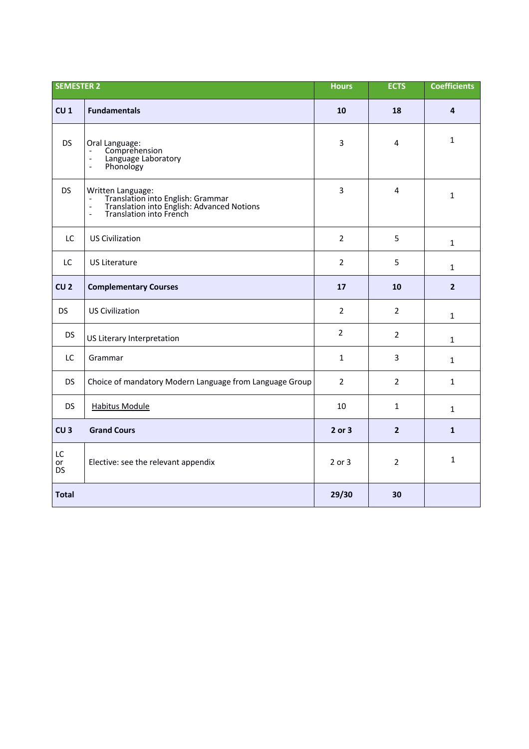| <b>SEMESTER 2</b> |                                                                                                                                                       | <b>Hours</b>   | <b>ECTS</b>    | <b>Coefficients</b>     |
|-------------------|-------------------------------------------------------------------------------------------------------------------------------------------------------|----------------|----------------|-------------------------|
| CU <sub>1</sub>   | <b>Fundamentals</b>                                                                                                                                   | 10             | 18             | $\overline{\mathbf{4}}$ |
| <b>DS</b>         | Oral Language:<br>Comprehension<br>$\overline{a}$<br>Language Laboratory<br>$\blacksquare$<br>Phonology<br>$\blacksquare$                             | 3              | 4              | $\mathbf{1}$            |
| <b>DS</b>         | Written Language:<br>- Translation into English: Grammar<br>- Translation into English: Advanced Notions<br>Translation into French<br>$\overline{a}$ | 3              | 4              | $\mathbf{1}$            |
| LC                | <b>US Civilization</b>                                                                                                                                | $\overline{2}$ | 5              | $\mathbf{1}$            |
| LC                | <b>US Literature</b>                                                                                                                                  | $\overline{2}$ | 5              | $\mathbf{1}$            |
| CU <sub>2</sub>   | <b>Complementary Courses</b>                                                                                                                          | 17             | 10             | $\overline{2}$          |
| <b>DS</b>         | <b>US Civilization</b>                                                                                                                                | $\overline{2}$ | $\overline{2}$ | $\mathbf{1}$            |
| <b>DS</b>         | US Literary Interpretation                                                                                                                            | $\overline{2}$ | $\overline{2}$ | $\mathbf{1}$            |
| LC                | Grammar                                                                                                                                               | $\mathbf{1}$   | 3              | $\mathbf{1}$            |
| <b>DS</b>         | Choice of mandatory Modern Language from Language Group                                                                                               | $\overline{2}$ | $\overline{2}$ | $\mathbf{1}$            |
| <b>DS</b>         | <b>Habitus Module</b>                                                                                                                                 | 10             | $\mathbf{1}$   | $\mathbf{1}$            |
| CU <sub>3</sub>   | <b>Grand Cours</b>                                                                                                                                    | 2 or 3         | $\overline{2}$ | $\mathbf{1}$            |
| LC<br>or<br>DS    | Elective: see the relevant appendix                                                                                                                   | 2 or 3         | $\overline{2}$ | 1                       |
| <b>Total</b>      |                                                                                                                                                       | 29/30          | 30             |                         |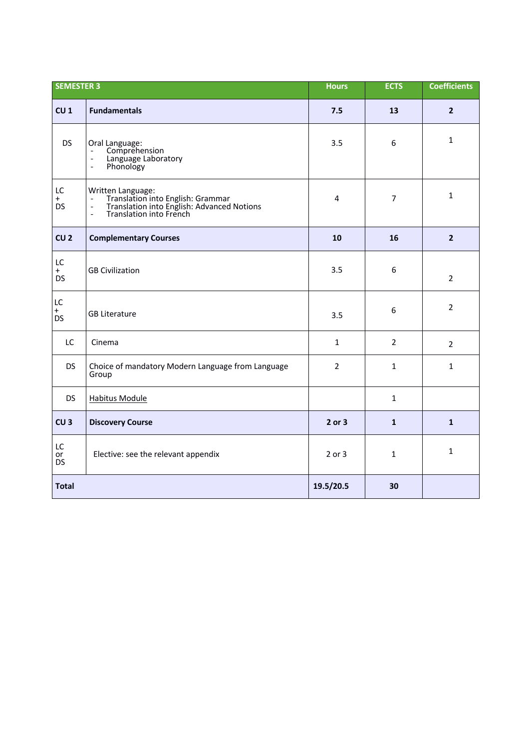| <b>SEMESTER 3</b>                 |                                                                                                                                                                                       | <b>Hours</b>   | <b>ECTS</b>    | <b>Coefficients</b> |
|-----------------------------------|---------------------------------------------------------------------------------------------------------------------------------------------------------------------------------------|----------------|----------------|---------------------|
| CU <sub>1</sub>                   | <b>Fundamentals</b>                                                                                                                                                                   | 7.5            | 13             | $\overline{2}$      |
| <b>DS</b>                         | Oral Language:<br>Comprehension<br>Language Laboratory<br>$\overline{\phantom{a}}$<br>Phonology<br>$\overline{a}$                                                                     | 3.5            | 6              | $\mathbf{1}$        |
| LC<br>$+$<br><b>DS</b>            | Written Language:<br>Translation into English: Grammar<br>Translation into English: Advanced Notions<br>$\blacksquare$<br>$\blacksquare$<br>Translation into French<br>$\blacksquare$ | 4              | $\overline{7}$ | $\mathbf{1}$        |
| CU <sub>2</sub>                   | <b>Complementary Courses</b>                                                                                                                                                          | 10             | 16             | $\overline{2}$      |
| LC<br>$+$<br><b>DS</b>            | <b>GB Civilization</b>                                                                                                                                                                | 3.5            | 6              | $\overline{2}$      |
| $\mathsf{LC}$<br>$+$<br><b>DS</b> | <b>GB Literature</b>                                                                                                                                                                  | 3.5            | 6              | $\overline{2}$      |
| LC                                | Cinema                                                                                                                                                                                | $\mathbf{1}$   | $\overline{2}$ | $\overline{2}$      |
| <b>DS</b>                         | Choice of mandatory Modern Language from Language<br>Group                                                                                                                            | $\overline{2}$ | $\mathbf{1}$   | $\mathbf{1}$        |
| <b>DS</b>                         | <b>Habitus Module</b>                                                                                                                                                                 |                | $\mathbf{1}$   |                     |
| CU <sub>3</sub>                   | <b>Discovery Course</b>                                                                                                                                                               | 2 or 3         | $\mathbf{1}$   | $\mathbf{1}$        |
| LC<br>or<br><b>DS</b>             | Elective: see the relevant appendix                                                                                                                                                   | 2 or 3         | 1              | $\mathbf{1}$        |
| <b>Total</b>                      |                                                                                                                                                                                       | 19.5/20.5      | 30             |                     |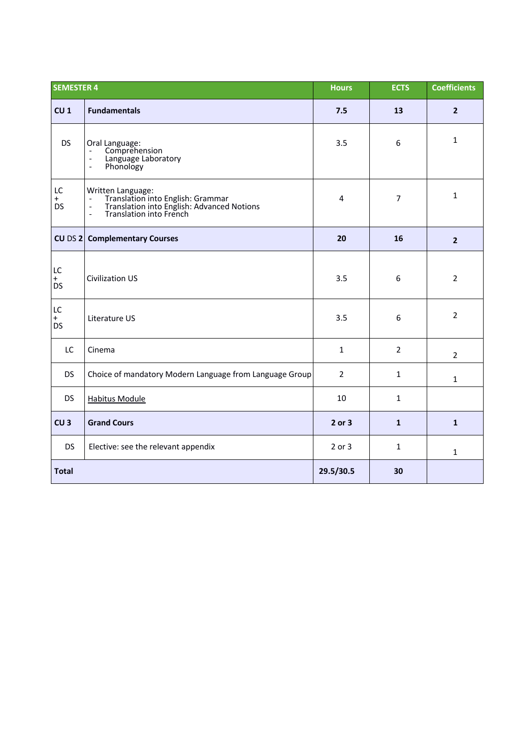| <b>SEMESTER 4</b>      |                                                                                                                                                                                               | <b>Hours</b>   | <b>ECTS</b>    | <b>Coefficients</b> |
|------------------------|-----------------------------------------------------------------------------------------------------------------------------------------------------------------------------------------------|----------------|----------------|---------------------|
| CU <sub>1</sub>        | <b>Fundamentals</b>                                                                                                                                                                           | 7.5            | 13             | $\overline{2}$      |
| <b>DS</b>              | Oral Language:<br>Comprehension<br>$\overline{\phantom{a}}$<br>Language Laboratory<br>$\blacksquare$<br>Phonology<br>$\overline{\phantom{a}}$                                                 | 3.5            | 6              | $\mathbf{1}$        |
| LC<br>$+$<br><b>DS</b> | Written Language:<br>Translation into English: Grammar<br>Translation into English: Advanced Notions<br>Translation into French<br>$\overline{\phantom{a}}$<br>$\frac{1}{2}$<br>$\frac{1}{2}$ | 4              | $\overline{7}$ | $\mathbf{1}$        |
| $CU$ DS $2$            | <b>Complementary Courses</b>                                                                                                                                                                  | 20             | 16             | $\overline{2}$      |
| LC<br>$+$<br><b>DS</b> | <b>Civilization US</b>                                                                                                                                                                        | 3.5            | 6              | $\overline{2}$      |
| LC<br>$+$<br><b>DS</b> | Literature US                                                                                                                                                                                 | 3.5            | 6              | $\overline{2}$      |
| LC                     | Cinema                                                                                                                                                                                        | $\mathbf{1}$   | $\overline{2}$ | $\overline{2}$      |
| <b>DS</b>              | Choice of mandatory Modern Language from Language Group                                                                                                                                       | $\overline{2}$ | $\mathbf{1}$   | $\mathbf{1}$        |
| <b>DS</b>              | <b>Habitus Module</b>                                                                                                                                                                         | 10             | $\mathbf{1}$   |                     |
| CU <sub>3</sub>        | <b>Grand Cours</b>                                                                                                                                                                            | 2 or 3         | $\mathbf{1}$   | $\mathbf{1}$        |
| <b>DS</b>              | Elective: see the relevant appendix                                                                                                                                                           | 2 or 3         | $\mathbf{1}$   | $\mathbf{1}$        |
| <b>Total</b>           |                                                                                                                                                                                               | 29.5/30.5      | 30             |                     |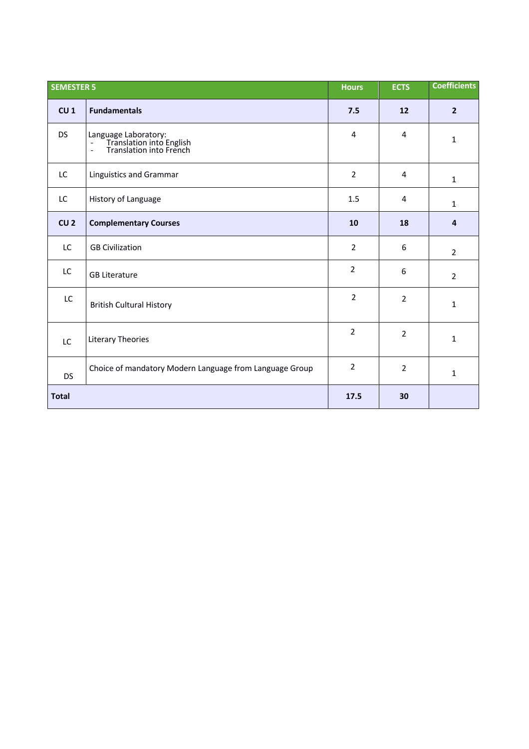| <b>SEMESTER 5</b> |                                                                                 | <b>Hours</b>   | <b>ECTS</b>    | <b>Coefficients</b> |
|-------------------|---------------------------------------------------------------------------------|----------------|----------------|---------------------|
| CU <sub>1</sub>   | <b>Fundamentals</b>                                                             | 7.5            | 12             | $\overline{2}$      |
| <b>DS</b>         | Language Laboratory:<br>- Translation into English<br>- Translation into French | 4              | 4              | 1                   |
| LC                | Linguistics and Grammar                                                         | $\overline{2}$ | 4              | $\mathbf{1}$        |
| LC                | History of Language                                                             | 1.5            | 4              | $\mathbf{1}$        |
| CU <sub>2</sub>   | <b>Complementary Courses</b>                                                    | 10             | 18             | $\overline{4}$      |
| LC                | <b>GB Civilization</b>                                                          | $\overline{2}$ | 6              | $\overline{2}$      |
| LC                | <b>GB Literature</b>                                                            | $\overline{2}$ | 6              | $\overline{2}$      |
| LC                | <b>British Cultural History</b>                                                 | $\overline{2}$ | $\overline{2}$ | $\mathbf{1}$        |
| LC                | Literary Theories                                                               | $\overline{2}$ | $\overline{2}$ | 1                   |
| <b>DS</b>         | Choice of mandatory Modern Language from Language Group                         | $\overline{2}$ | $\overline{2}$ | $\mathbf{1}$        |
| <b>Total</b>      |                                                                                 | 17.5           | 30             |                     |